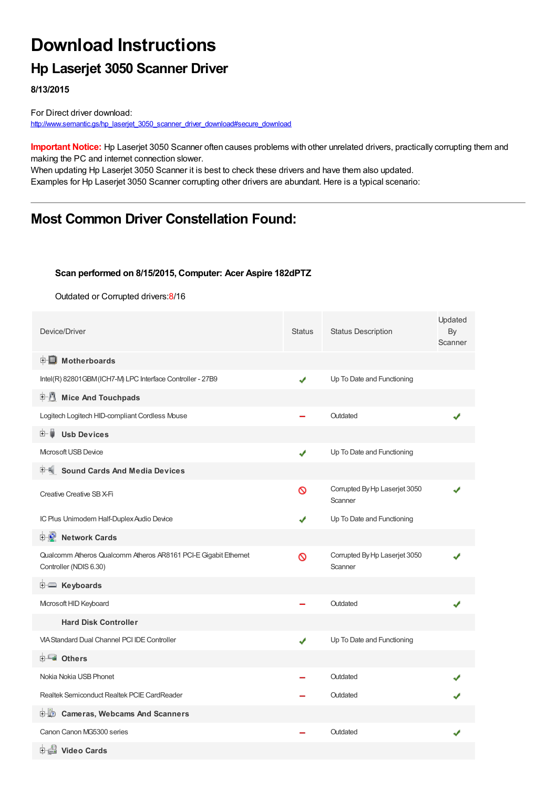# **Download Instructions**

### **Hp Laserjet 3050 Scanner Driver**

**8/13/2015**

For Direct driver download: [http://www.semantic.gs/hp\\_laserjet\\_3050\\_scanner\\_driver\\_download#secure\\_download](http://www.semantic.gs/hp_laserjet_3050_scanner_driver_download#secure_download)

**Important Notice:** Hp Laserjet 3050 Scanner often causes problems with other unrelated drivers, practically corrupting them and making the PC and internet connection slower.

When updating Hp Laserjet 3050 Scanner it is best to check these drivers and have them also updated. Examples for Hp Laserjet 3050 Scanner corrupting other drivers are abundant. Here is a typical scenario:

### **Most Common Driver Constellation Found:**

#### **Scan performed on 8/15/2015, Computer: Acer Aspire 182dPTZ**

Outdated or Corrupted drivers:8/16

| Device/Driver                                                                             | <b>Status</b> | <b>Status Description</b>                | Updated<br>By<br>Scanner |
|-------------------------------------------------------------------------------------------|---------------|------------------------------------------|--------------------------|
| <b>E</b> Motherboards                                                                     |               |                                          |                          |
| Intel(R) 82801GBM (ICH7-M) LPC Interface Controller - 27B9                                | ✔             | Up To Date and Functioning               |                          |
| 中心 Mice And Touchpads                                                                     |               |                                          |                          |
| Logitech Logitech HID-compliant Cordless Mouse                                            |               | Outdated                                 |                          |
| <b>Usb Devices</b><br>⊞…∎                                                                 |               |                                          |                          |
| Microsoft USB Device                                                                      | ✔             | Up To Date and Functioning               |                          |
| <b>Sound Cards And Media Devices</b>                                                      |               |                                          |                          |
| Creative Creative SB X-Fi                                                                 | Ø             | Corrupted By Hp Laserjet 3050<br>Scanner |                          |
| IC Plus Unimodem Half-Duplex Audio Device                                                 |               | Up To Date and Functioning               |                          |
| <b>E-D</b> Network Cards                                                                  |               |                                          |                          |
| Qualcomm Atheros Qualcomm Atheros AR8161 PCI-E Gigabit Ethernet<br>Controller (NDIS 6.30) | Ø             | Corrupted By Hp Laserjet 3050<br>Scanner |                          |
|                                                                                           |               |                                          |                          |
| Microsoft HID Keyboard                                                                    |               | Outdated                                 |                          |
| <b>Hard Disk Controller</b>                                                               |               |                                          |                          |
| <b>VIA Standard Dual Channel PCI IDE Controller</b>                                       | ✔             | Up To Date and Functioning               |                          |
|                                                                                           |               |                                          |                          |
| Nokia Nokia USB Phonet                                                                    |               | Outdated                                 |                          |
| Realtek Semiconduct Realtek PCIE CardReader                                               |               | Outdated                                 |                          |
| <b>Cameras, Webcams And Scanners</b><br>⊡∵∐?                                              |               |                                          |                          |
| Canon Canon MG5300 series                                                                 |               | Outdated                                 |                          |
| <b>⊞ ≝il Video Cards</b>                                                                  |               |                                          |                          |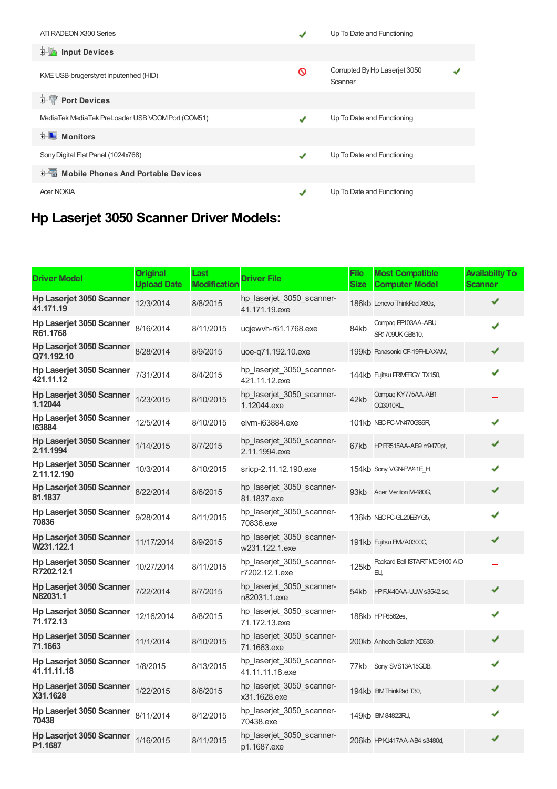| ATI RADEON X300 Series                            |   | Up To Date and Functioning               |
|---------------------------------------------------|---|------------------------------------------|
| <b>Input Devices</b><br><b>E-la</b>               |   |                                          |
| KME USB-brugerstyret inputenhed (HID)             | ര | Corrupted By Hp Laserjet 3050<br>Scanner |
| <b>E-TP</b> Port Devices                          |   |                                          |
| MediaTek MediaTek PreLoader USB VCOM Port (COM51) |   | Up To Date and Functioning               |
| <b>E</b> Monitors                                 |   |                                          |
| Sony Digital Flat Panel (1024x768)                | J | Up To Date and Functioning               |
| 中国 Mobile Phones And Portable Devices             |   |                                          |
| <b>Acer NOKIA</b>                                 |   | Up To Date and Functioning               |

## **Hp Laserjet 3050 Scanner Driver Models:**

| <b>Driver Model</b>                          | <b>Original</b><br><b>Upload Date</b> | Last<br><b>Modification</b> | <b>Driver File</b>                           | <b>File</b><br><b>Size</b> | <b>Most Compatible</b><br><b>Computer Model</b> | <b>Availabilty To</b><br><b>Scanner</b> |
|----------------------------------------------|---------------------------------------|-----------------------------|----------------------------------------------|----------------------------|-------------------------------------------------|-----------------------------------------|
| <b>Hp Laserjet 3050 Scanner</b><br>41.171.19 | 12/3/2014                             | 8/8/2015                    | hp_laserjet_3050_scanner-<br>41.171.19.exe   |                            | 186kb Lenovo ThinkPad X60s,                     | ✔                                       |
| Hp Laserjet 3050 Scanner<br>R61.1768         | 8/16/2014                             | 8/11/2015                   | ugjewyh-r61.1768.exe                         | 84kb                       | Compaq EP103AA-ABU<br>SR1709UK GB610,           | ✔                                       |
| Hp Laserjet 3050 Scanner<br>Q71.192.10       | 8/28/2014                             | 8/9/2015                    | uoe-q71.192.10.exe                           |                            | 199kb Panasonic CF-19FHLAXAM                    | ✔                                       |
| Hp Laserjet 3050 Scanner<br>421.11.12        | 7/31/2014                             | 8/4/2015                    | hp_laserjet_3050_scanner-<br>421.11.12.exe   |                            | 144kb Fujitsu PRIMERGY TX150,                   | ✔                                       |
| Hp Laserjet 3050 Scanner<br>1.12044          | 1/23/2015                             | 8/10/2015                   | hp_laserjet_3050_scanner-<br>1.12044.exe     | 42kb                       | Compag KY775AA-AB1<br><b>CC3010KL,</b>          |                                         |
| Hp Laserjet 3050 Scanner<br>163884           | 12/5/2014                             | 8/10/2015                   | elvm-i63884.exe                              |                            | 101kb NEC PC-VN470GS6R                          |                                         |
| Hp Laserjet 3050 Scanner<br>2.11.1994        | 1/14/2015                             | 8/7/2015                    | hp_laserjet_3050_scanner-<br>2.11.1994.exe   |                            | 67kb HPFR515AA-AB9 m9470pt,                     | ✔                                       |
| Hp Laserjet 3050 Scanner<br>2.11.12.190      | 10/3/2014                             | 8/10/2015                   | sricp-2.11.12.190.exe                        |                            | 154kb Sony VGN-FW41E_H,                         | ✔                                       |
| Hp Laserjet 3050 Scanner<br>81.1837          | 8/22/2014                             | 8/6/2015                    | hp laserjet 3050 scanner-<br>81.1837.exe     |                            | 93kb Acer Veriton M-480G,                       | ✔                                       |
| Hp Laserjet 3050 Scanner<br>70836            | 9/28/2014                             | 8/11/2015                   | hp_laserjet_3050_scanner-<br>70836.exe       |                            | 136kb NEC PC-GL20ESYG5,                         | ✔                                       |
| Hp Laserjet 3050 Scanner<br>W231.122.1       | 11/17/2014                            | 8/9/2015                    | hp_laserjet_3050_scanner-<br>w231.122.1.exe  |                            | 191kb Fujitsu FMVA0300C,                        | ✔                                       |
| Hp Laserjet 3050 Scanner<br>R7202.12.1       | 10/27/2014                            | 8/11/2015                   | hp_laserjet_3050_scanner-<br>r7202.12.1.exe  | 125kb                      | Packard Bell ISTART MC 9100 AIO<br>EU.          |                                         |
| Hp Laserjet 3050 Scanner<br>N82031.1         | 7/22/2014                             | 8/7/2015                    | hp laserjet 3050 scanner-<br>n82031.1.exe    | 54kb                       | HPFJ440AA-UUW s3542.sc,                         | ✔                                       |
| Hp Laserjet 3050 Scanner<br>71.172.13        | 12/16/2014                            | 8/8/2015                    | hp_laserjet_3050_scanner-<br>71.172.13.exe   |                            | 188kb HP P6562es,                               | J                                       |
| Hp Laserjet 3050 Scanner<br>71.1663          | 11/1/2014                             | 8/10/2015                   | hp_laserjet_3050_scanner-<br>71.1663.exe     |                            | 200kb Anhoch Goliath XD630,                     | ✔                                       |
| Hp Laserjet 3050 Scanner<br>41.11.11.18      | 1/8/2015                              | 8/13/2015                   | hp laserjet 3050 scanner-<br>41.11.11.18.exe | 77kb                       | Sony SVS13A15GDB,                               |                                         |
| <b>Hp Laserjet 3050 Scanner</b><br>X31.1628  | 1/22/2015                             | 8/6/2015                    | hp_laserjet_3050_scanner-<br>x31.1628.exe    |                            | 194kb IBM ThinkPad T30,                         | ✔                                       |
| Hp Laserjet 3050 Scanner<br>70438            | 8/11/2014                             | 8/12/2015                   | hp_laserjet_3050_scanner-<br>70438.exe       |                            | 149kb IBM84822RU,                               |                                         |
| <b>Hp Laserjet 3050 Scanner</b><br>P1.1687   | 1/16/2015                             | 8/11/2015                   | hp laserjet 3050 scanner-<br>p1.1687.exe     |                            | 206kb HPKJ417AA-AB4 s3480d,                     | ✔                                       |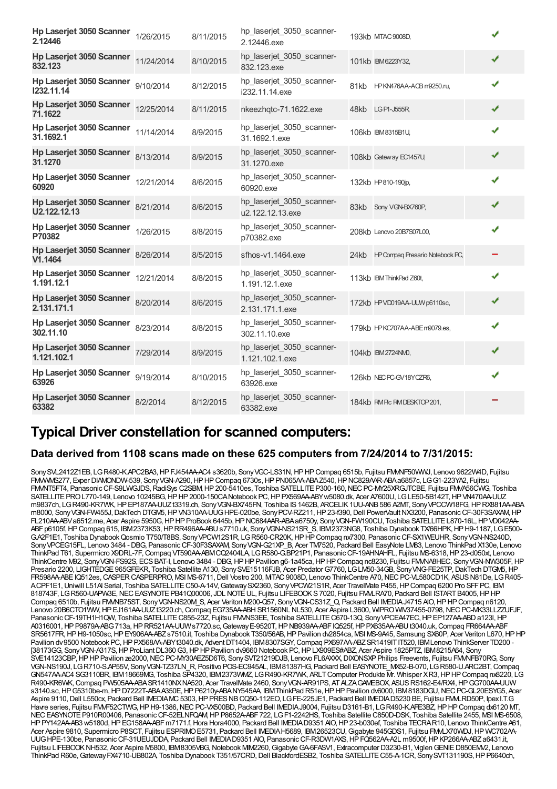| Hp Laserjet 3050 Scanner 1/26/2015<br>2.12446   |            | 8/11/2015 | hp_laserjet_3050_scanner-<br>2.12446.exe      | 193kb MTAC 9008D,                    | ✔ |
|-------------------------------------------------|------------|-----------|-----------------------------------------------|--------------------------------------|---|
| <b>Hp Laserjet 3050 Scanner</b><br>832.123      | 11/24/2014 | 8/10/2015 | hp_laserjet_3050_scanner-<br>832.123.exe      | 101kb IBM6223Y32,                    | ✔ |
| Hp Laserjet 3050 Scanner<br>1232.11.14          | 9/10/2014  | 8/12/2015 | hp laserjet 3050 scanner-<br>i232.11.14.exe   | 81kb HPKN476AA-ACB m9250.ru,         | ✔ |
| <b>Hp Laserjet 3050 Scanner</b><br>71.1622      | 12/25/2014 | 8/11/2015 | nkeezhqtc-71.1622.exe                         | LG P1-J555R<br>48kb                  | ✔ |
| Hp Laserjet 3050 Scanner<br>31.1692.1           | 11/14/2014 | 8/9/2015  | hp_laserjet_3050_scanner-<br>31.1692.1.exe    | 106kb IBM8315B1U,                    | ✔ |
| Hp Laserjet 3050 Scanner<br>31.1270             | 8/13/2014  | 8/9/2015  | hp_laserjet_3050_scanner-<br>31.1270.exe      | 108kb Gateway EC1457U,               | ✔ |
| Hp Laserjet 3050 Scanner<br>60920               | 12/21/2014 | 8/6/2015  | hp_laserjet_3050_scanner-<br>60920.exe        | 132kb HP810-190ip,                   | ✔ |
| <b>Hp Laserjet 3050 Scanner</b><br>U2.122.12.13 | 8/21/2014  | 8/6/2015  | hp_laserjet_3050_scanner-<br>u2.122.12.13.exe | Sony VGN-BX760P,<br>83kb             | ✔ |
| Hp Laserjet 3050 Scanner<br>P70382              | 1/26/2015  | 8/8/2015  | hp laserjet 3050 scanner-<br>p70382.exe       | 208kb Lenovo 20B7S07L00.             | ✔ |
| <b>Hp Laserjet 3050 Scanner</b><br>V1.1464      | 8/26/2014  | 8/5/2015  | sfhos-v1.1464.exe                             | 24kb HP Compaq Presario Notebook PC, |   |
| Hp Laserjet 3050 Scanner<br>1.191.12.1          | 12/21/2014 | 8/8/2015  | hp_laserjet_3050_scanner-<br>1.191.12.1.exe   | 113kb IBM ThinkPad Z60t,             | ✔ |
| Hp Laserjet 3050 Scanner<br>2.131.171.1         | 8/20/2014  | 8/6/2015  | hp_laserjet_3050_scanner-<br>2.131.171.1.exe  | 172kb HPVD019AA-UUWp6110sc,          | ✔ |
| Hp Laserjet 3050 Scanner<br>302.11.10           | 8/23/2014  | 8/8/2015  | hp_laserjet_3050_scanner-<br>302.11.10.exe    | 179kb HPKC707AA-ABEm9079.es,         | ✔ |
| <b>Hp Laserjet 3050 Scanner</b><br>1.121.102.1  | 7/29/2014  | 8/9/2015  | hp_laserjet_3050_scanner-<br>1.121.102.1.exe  | 104kb IBM2724NMD,                    | ✔ |
| Hp Laserjet 3050 Scanner<br>63926               | 9/19/2014  | 8/10/2015 | hp laserjet 3050 scanner-<br>63926.exe        | 126kb NEC PC-GV18YCZR6,              | ✔ |
| Hp Laserjet 3050 Scanner<br>63382               | 8/2/2014   | 8/12/2015 | hp_laserjet_3050_scanner-<br>63382.exe        | 184kb RMPc RMDESKTOP 201,            |   |

### **Typical Driver constellation for scanned computers:**

#### **Data derived from 1108 scans made on these 625 computers from 7/24/2014 to 7/31/2015:**

Sony SVL2412Z1EB, LG R480-K.APC2BA3, HP FJ454AA-AC4 s3620b, Sony VGC-LS31N, HP HP Compaq 6515b, Fujitsu FMMF50WWJ, Lenovo 9622W4D, Fujitsu FMWMS277, Exper DIAMONDW-539, Sony VGN-A290, HP HP Compaq 6730s, HP PN065AA-ABA Z540, HP NC829AAR-ABA a6857c, LG G1-223YA2, Fujitsu FMMT5FT4, Panasonic CF-S9LWGJDS, RadiSys C2SBM, HP 200-5410es, Toshiba SATELLITE P300-160, NEC PC-MY25XRGJTCBE, Fujitsu FMVA56CWG, Toshiba SATELLITE PROL770-149, Lenovo 10245BG, HP HP 2000-150CANotebook PC, HP PX569AA-ABY w5080.dk, Acer A7600U, LG LE50-5B142T, HP VN470AA-UUZ m9837ch, LGR490-KR7WK,HPEP187AA-UUZt3319.ch, SonyVGN-BX745FN, Toshiba IS1462B, ARCELIK1UU-ANB586 A2MT, SonyVPCCW18FG,HPRX881AA-ABA m8000, SonyVGN-FW455J,DakTech DTGM5,HPVN310AA-UUGHPE-020be, SonyPCV-RZ211,HP23-f390,Dell PowerVaultNX3200, PanasonicCF-30F3SAXAM,HP FL210AA-ABVa6512.me, Acer Aspire 5950G, HPHP ProBook 6445b, HP NC684AAR-ABA a6750y, Sony VGN-FW190CU, Toshiba SATELLITE L870-16L, HP VD042AA-ABF p6105f, HP Compaq 615, IBM2373K53, HP RR496AA-ABU s7710.uk, Sony VGN-NS21SR S, IBM2373NG8, Toshiba Dynabook TX/66HPK, HP H9-1187, LG E500-G.A2F1E1, Toshiba DynabookQosmio T750/T8BS, SonyVPCW12S1R, LGR560-CR20K,HPHPCompaq nx7300, PanasonicCF-SX1WEUHR, SonyVGN-NS240D, SonyVPCEG15FL, Lenovo 3484 - DBG, PanasonicCF-30F3SAXAM, SonyVGN-G21XP\_B, Acer TM7520, Packard Bell EasyNote LM83, Lenovo ThinkPad X130e, Lenovo ThinkPad T61, Supermicro X9DRL-7F,Compaq VT590AA-ABMCQ2404LA, LGR580-G.BP21P1, PanasonicCF-19AHNAHFL, Fujitsu MS-6318,HP23-d050xt, Lenovo ThinkCentre M92, Sony VGN-FS92S, ECS BAT-I, Lenovo 3484 - DBG, HP HP Pavilion g6-1a45ca, HP HP Compaq nc8230, Fujitsu FMMA8HEC, Sony VGN-NW305F, HP Presario 2200, LIGHTEDGE965GFEKR, Toshiba Satellite A130, SonySVE15116FJB, Acer PredatorG7760, LGLM50-34GB, SonyVNG-FE25TP,DakTech DTGM5,HP FR598AA-ABEIQ512es, CASPER CASPERPRO, MSIMS-6711, Dell Vostro 200, MTAC 9008D, Lenovo ThinkCentre A70, NEC PC-VL580CD1K, ASUS N81De, LG R405-ACPF1E1, Uniwill L51AI Serial, Toshiba SATELLITE C50-A-14V, Gateway SX2360, Sony VPCW21S1R, Acer TravelMate P455, HP Compaq 6200 Pro SFF PC, IBM 818743F, LGR560-UAPW3E, NEC EASYNOTE PB41Q00006, JDL NOTE UL, Fujitsu LIFEBOOKS7020, Fujitsu FMLRA70, Packard Bell ISTART B4005, HP HP Compaq 6510b, Fujitsu FMMB75ST, Sony VGN-NS20M S, Acer Veriton M200-Q57, Sony VGN-CS31Z\_Q, Packard Bell IMEDIAJ4715 AIO, HP HP Compaq n6120, Lenovo 20B6CTO1WW, HP EJ161AA-UUZ t3220.ch, Compaq EG735AA-ABH SR1560NL NL530, Acer Aspire L3600, WIPRO WIV37455-0798, NEC PC-MK33LLZZUFJF, Panasonic CF-19TH1H1QW, Toshiba SATELLITE C855-23Z, Fujitsu FMMS3EE, Toshiba SATELLITE C670-13Q, Sony VPCEA47EC, HP EP127AA-ABD a123I, HP A0316001,HPP9879A-ABG713a,HPRR521AA-UUWs7720.sc,GatewayE-9520T,HPNB939AA-ABFIQ525f,HPPX635AA-ABUt3040.uk,Compaq FR664AA-ABF SR5617FR, HP H9-1050sc, HP EY906AA-ABZ s7510.it, Toshiba Dynabook T350/56AB, HP Pavilion dv2854ca, MSI MS-9A45, Samsung SX60P, Acer Veriton L670, HP HP Pavilion dv9500 Notebook PC, HP PX568AA-ABYt3040.dk, Advent DT1404, IBM8307SGY, Compaq PX697AA-ABZSR1419ITIT520, IBMLenovo ThinkServer TD200 -[38173GG, SonyVGN-A317S,HPProLiantDL360G3,HPHPPavilion dv9660 Notebook PC,HPLX909ES#ABZ, Acer Aspire 1825PTZ, IBM8215A64, Sony SVE14123CBP, HPHP Pavilion ze2000, NEC PC-MY30AEZ5D6T6, Sony SVT21219DJB, Lenovo FL6AXXX, DIXONSXP Philips Freevents, Fujitsu FMMFB70RG, Sony VGN-NS190J, LGR710-S.AP55V, SonyVGN-TZ37LN\_R, Positivo POS-EC945AL, IBM81387HG, Packard Bell EASYNOTE\_MX52-B-070, LGR580-U.ARC2BT,Compaq GN547AA-AC4 SG3110BR, IBM18669MG, Toshiba SP4320, IBM2373WMZ, LGR490-KR7WK, ARLTComputer Produkte Mr. Whisper XR3,HPHPCompaq nx8220, LG R490-KR6WK,Compaq PW505AA-ABASR1410NXNA520, Acer TravelMate 2460, SonyVGN-AR91PS, ATALZAGAMEBOX, ASUSRS162-E4/RX4,HPGG700AA-UUW s3140.sc, HPG5310be-m, HPD7222T-ABAA350E, HPP6210y-ABANY545AA, IBMThinkPad R51e, HPHP Pavilion dv6000, IBM8183DGU, NECPC-GL20ESYG5, Acer Aspire 9110, Dell L550cx, Packard Bell IMEDIAMC 5303, HP PRES NB CQ50-112EO, LG FE-225JE1, Packard Bell IMEDIAD5230 BE, Fujitsu FMMLRD50P, Ipex I.T.G Havre series, Fujitsu FMVF52CTWG, HPH9-1386, NEC PC-VX500BD, Packard Bell IMEDIAJ9004, Fujitsu D3161-B1, LGR490-K.AFE3BZ, HPHP Compaq dx6120 MT, NEC EASYNOTE P910R00406, Panasonic CF-52ELNFQAM, HP P8652A-ABF 722, LG F1-2242HS, Toshiba Satellite C850D-DSK, Toshiba Satellite 2455, MSI MS-6508, HPPY142AA-AB3 w5180d,HPEG158AA-ABFm7171.f,Hora Hora4000, Packard Bell IMEDIAD9351 AIO,HP23-b030ef, Toshiba TECRAR10, Lenovo ThinkCentre A61, Acer Aspire 9810, Supermicro P8SCT, Fujitsu ESPRIMO E5731, Packard Bell IMEDIA H5689, IBM 26523CU, Gigabyte 945GDS1, Fujitsu FMLX70WDJ, HP WC702AA-UUGHPE-130be, PanasonicCF-31UEUJDDA, Packard Bell IMEDIAD9351 AIO, PanasonicCF-R3DW1AXS,HPFQ562AA-A2L m9500f,HPKP266AA-ABZa6431.it, Fujitsu LIFEBOOK NH532, Acer Aspire M5800, IBM8305VBG, Notebook MM2260, Gigabyte GA-6FASV1, Extracomputer D3230-B1, Viglen GENIE D850EMV2, Lenovo ThinkPad R60e, Gateway FX4710-UB802A, Toshiba Dynabook T351/57CRD, Dell BlackfordESB2, Toshiba SATELLITE C55-A-1CR, Sony SVT131190S, HP P6640ch,